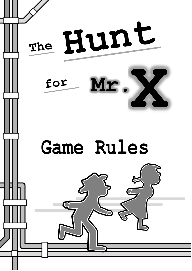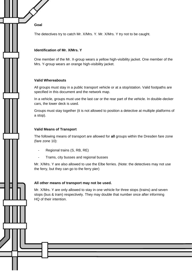**Goal**

The detectives try to catch Mr. X/Mrs. Y. Mr. X/Mrs. Y try not to be caught.

## **Identification of Mr. X/Mrs. Y**

One member of the Mr. X-group wears a yellow high-visibility jacket. One member of the Mrs. Y-group wears an orange high-visibility jacket.

### **Valid Whereabouts**

All groups must stay in a public transport vehicle or at a stop/station. Valid footpaths are specified in this document and the network map.

In a vehicle, groups must use the last car or the rear part of the vehicle. In double-decker cars, the lower deck is used.

Groups must stay together (it is not allowed to position a detective at multiple platforms of a stop).

### **Valid Means of Transport**

The following means of transport are allowed for **all** groups within the Dresden fare zone (fare zone 10):

- Regional trains (S, RB, RE)
- Trams, city busses and regional busses

Mr. X/Mrs. Y are also allowed to use the Elbe ferries. (Note: the detectives may not use the ferry, but they can go to the ferry pier)

#### **All other means of transport may not be used.**

Mr. X/Mrs. Y are only allowed to stay in one vehicle for three stops (trains) and seven stops (bus & tram) respectively. They may double that number once after informing HQ of their intention.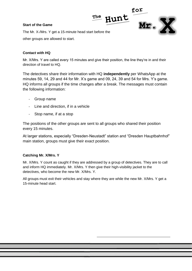# **Start of the Game**



The Mr. X-/Mrs. Y get a 15-minute head start before the other groups are allowed to start.

# **Contact with HQ**

Mr. X/Mrs. Y are called every 15 minutes and give their position, the line they're in and their direction of travel to HQ.

The detectives share their information with HQ **independently** per WhatsApp at the minutes 59, 14, 29 and 44 for Mr. X's game and 09, 24, 39 and 54 for Mrs. Y's game. HQ informs all groups if the time changes after a break. The messages must contain the following information:

- Group name
- Line and direction, if in a vehicle
- Stop name, if at a stop

The positions of the other groups are sent to all groups who shared their position every 15 minutes.

At larger stations, especially "Dresden-Neustadt" station and "Dresden Hauptbahnhof" main station, groups must give their exact position.

# **Catching Mr. X/Mrs. Y**

Mr. X/Mrs. Y count as caught if they are addressed by a group of detectives. They are to call and inform HQ immediately. Mr. X/Mrs. Y then give their high-visibility jacket to the detectives, who become the new Mr. X/Mrs. Y.

All groups must exit their vehicles and stay where they are while the new Mr. X/Mrs. Y get a 15-minute head start.